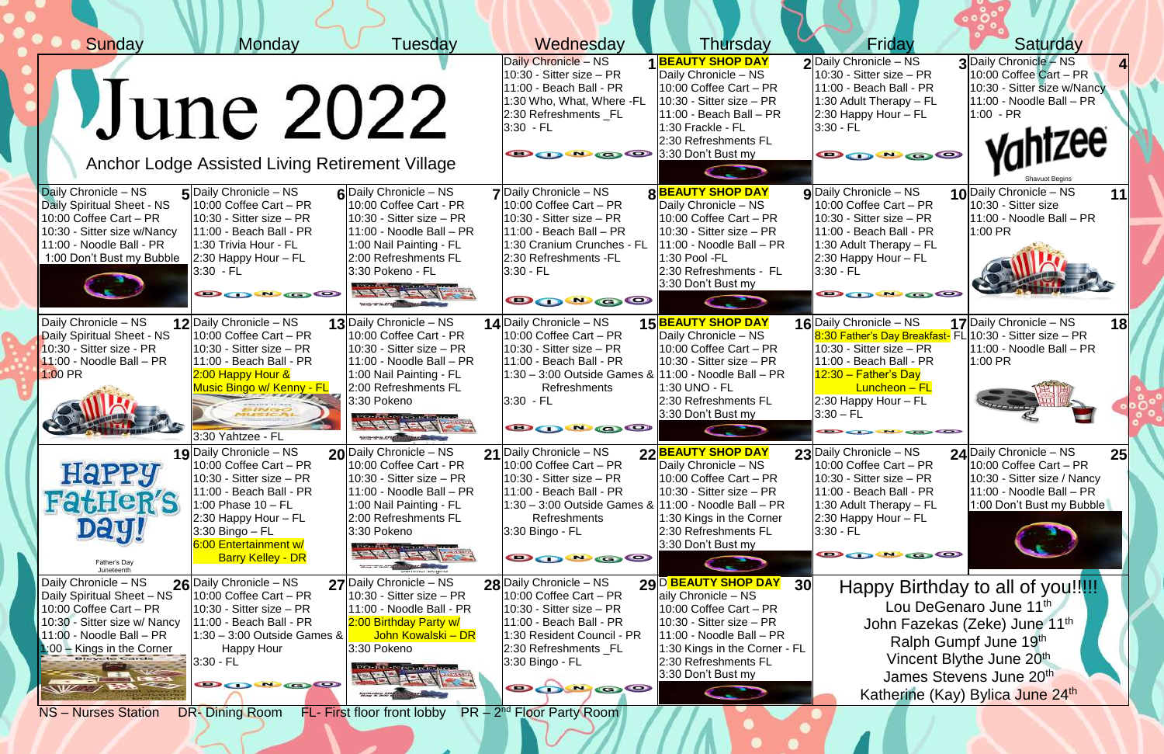| Sunday                                                                                                                                                                                                       | Monday                                                                                                                                                                                                                               | Tuesday                                                                                                                                                                                                                                                                                                                                                                                                                                                                                                                                                                                               | Wednesday                                                                                                                                                                                                                                | Thursday                                                                                                                                                                                                                                                                                                                  | Friday                                                                                                                                                                                                                                               | Saturday                                                                                                                                                                                                                                 |
|--------------------------------------------------------------------------------------------------------------------------------------------------------------------------------------------------------------|--------------------------------------------------------------------------------------------------------------------------------------------------------------------------------------------------------------------------------------|-------------------------------------------------------------------------------------------------------------------------------------------------------------------------------------------------------------------------------------------------------------------------------------------------------------------------------------------------------------------------------------------------------------------------------------------------------------------------------------------------------------------------------------------------------------------------------------------------------|------------------------------------------------------------------------------------------------------------------------------------------------------------------------------------------------------------------------------------------|---------------------------------------------------------------------------------------------------------------------------------------------------------------------------------------------------------------------------------------------------------------------------------------------------------------------------|------------------------------------------------------------------------------------------------------------------------------------------------------------------------------------------------------------------------------------------------------|------------------------------------------------------------------------------------------------------------------------------------------------------------------------------------------------------------------------------------------|
|                                                                                                                                                                                                              | Uune 2022<br>Anchor Lodge Assisted Living Retirement Village                                                                                                                                                                         |                                                                                                                                                                                                                                                                                                                                                                                                                                                                                                                                                                                                       | Daily Chronicle - NS<br>$10:30$ - Sitter size $-$ PR<br>11:00 - Beach Ball - PR<br>1:30 Who, What, Where -FL<br>2:30 Refreshments _FL<br>$3:30$ - FL<br><b>O O O O</b> 3:30 Don't Bust my                                                | <b>BEAUTY SHOP DAY</b><br>Daily Chronicle - NS<br>$10:00$ Coffee Cart – PR<br>$10:30$ - Sitter size $-$ PR<br>$11:00$ - Beach Ball – PR<br>1:30 Frackle - FL<br>2:30 Refreshments FL                                                                                                                                      | 2 Daily Chronicle - NS<br>$10:30$ - Sitter size – PR<br>11:00 - Beach Ball - PR<br>1:30 Adult Therapy $-$ FL<br>$2:30$ Happy Hour – FL<br>$3:30 - FL$<br><b>@@@@</b>                                                                                 | 3 Daily Chronicle - NS<br>10:00 Coffee Cart - PR<br>10:30 - Sitter size w/Nancy<br>11:00 - Noodle Ball - PR<br>$1:00 - PR$<br>$n$ htzee                                                                                                  |
| Daily Chronicle - NS<br>Daily Spiritual Sheet - NS<br>10:00 Coffee Cart - PR<br>10:30 - Sitter size w/Nancy<br>11:00 - Noodle Ball - PR<br>1:00 Don't Bust my Bubble                                         | $5$ Daily Chronicle – NS<br>$10:00$ Coffee Cart – PR<br>$10:30$ - Sitter size – PR<br>$11:00$ - Beach Ball - PR<br>1:30 Trivia Hour - FL<br>$ 2:30$ Happy Hour – FL<br>3:30 - FL<br>80000                                            | 6 Daily Chronicle – NS<br>10:00 Coffee Cart - PR<br>$10:30$ - Sitter size $-$ PR<br>11:00 - Noodle Ball - PR<br>1:00 Nail Painting - FL<br>2:00 Refreshments FL<br>3:30 Pokeno - FL<br>THEF ABILITY<br><b>STATISTICS</b> CONTROL                                                                                                                                                                                                                                                                                                                                                                      | $7$ Daily Chronicle – NS<br>$10:00$ Coffee Cart – PR<br>$10:30$ - Sitter size – PR<br>$11:00$ - Beach Ball – PR<br>1:30 Cranium Crunches - FL<br>2:30 Refreshments -FL<br>$3:30 - FL$<br><b>@@@@@</b>                                    | <b>8BEAUTY SHOP DAY</b><br>Daily Chronicle - NS<br>$10:00$ Coffee Cart – PR<br>$10:30$ - Sitter size $-$ PR<br>11:00 - Noodle Ball - PR<br>1:30 Pool -FL<br>2:30 Refreshments - FL<br>3:30 Don't Bust my<br>C. Participation of the Context of the Context of the Context of the Context of the Context of The Context of | $g$ Daily Chronicle – NS<br>$10:00$ Coffee Cart – PR<br>$10:30$ - Sitter size – PR<br>11:00 - Beach Ball - PR<br>1:30 Adult Therapy $-$ FL<br>$2:30$ Happy Hour – FL<br>$3:30 - FL$<br>800 a 0                                                       | 10 Daily Chronicle - NS<br>11<br>10:30 - Sitter size<br>$11:00$ - Noodle Ball - PR<br>1:00 PR                                                                                                                                            |
| Daily Chronicle - NS<br>Daily Spiritual Sheet - NS<br>10:30 - Sitter size - PR<br>$11:00$ - Noodle Ball – PR<br>$1:00$ PR                                                                                    | 12 Daily Chronicle - NS<br>$10:00$ Coffee Cart – PR<br>$10:30$ - Sitter size – PR<br>$11:00$ - Beach Ball - PR<br>$2:00$ Happy Hour $\&$<br><b>Music Bingo w/ Kenny - FL</b><br>3:30 Yahtzee - FL                                    | 13 Daily Chronicle - NS<br>10:00 Coffee Cart - PR<br>$10:30$ - Sitter size $-$ PR<br>11:00 - Noodle Ball - PR<br>1:00 Nail Painting - FL<br>2:00 Refreshments FL<br>3:30 Pokeno<br><b>ARE ARE EXE</b><br>$\frac{1}{2} \frac{1}{2} \frac{1}{2} \frac{1}{2} \frac{1}{2} \frac{1}{2} \frac{1}{2} \frac{1}{2} \frac{1}{2} \frac{1}{2} \frac{1}{2} \frac{1}{2} \frac{1}{2} \frac{1}{2} \frac{1}{2} \frac{1}{2} \frac{1}{2} \frac{1}{2} \frac{1}{2} \frac{1}{2} \frac{1}{2} \frac{1}{2} \frac{1}{2} \frac{1}{2} \frac{1}{2} \frac{1}{2} \frac{1}{2} \frac{1}{2} \frac{1}{2} \frac{1}{2} \frac{1}{2} \frac{$ | <b>14</b> Daily Chronicle – NS<br>10:00 Coffee Cart - PR<br>$10:30$ - Sitter size $-$ PR<br>11:00 - Beach Ball - PR<br>11:30 - 3:00 Outside Games & 11:00 - Noodle Ball - PR<br>Refreshments<br>$3:30$ - FL<br>80000                     | <b>15 BEAUTY SHOP DAY</b><br>Daily Chronicle - NS<br>$10:00$ Coffee Cart – PR<br>$10:30$ - Sitter size $-$ PR<br>1:30 UNO - FL<br>2:30 Refreshments FL<br>3:30 Don't Bust my                                                                                                                                              | 16 Daily Chronicle - NS<br>8:30 Father's Day Breakfast- FL 10:30 - Sitter size - PR<br>$10:30$ - Sitter size $-$ PR<br>$11:00$ - Beach Ball - PR<br>$12:30 - Father's Day$<br>Luncheon - FL<br>$2:30$ Happy Hour – FL<br>$3:30 - FL$<br><b>ODBOO</b> | 17 Daily Chronicle – NS<br>18<br>11:00 - Noodle Ball - PR<br>1:00 PR                                                                                                                                                                     |
| <b>HaPPY</b><br><b>FatHeR'S</b><br>Dayy<br>Father's Day<br>Juneteenth                                                                                                                                        | 19 Daily Chronicle - NS<br>10:00 Coffee Cart - PR<br>10:30 - Sitter size – PR<br>$11:00$ - Beach Ball - PR<br>$1:00$ Phase $10$ - FL<br>2:30 Happy Hour – FL<br>3:30 Bingo – FL<br>6:00 Entertainment w/<br><b>Barry Kelley - DR</b> | 20 Daily Chronicle - NS<br>10:00 Coffee Cart - PR<br>$10:30$ - Sitter size $-$ PR<br>11:00 - Noodle Ball - PR<br>1:00 Nail Painting - FL<br>2:00 Refreshments FL<br>3:30 Pokeno<br>A PER A PART<br><b>SECOND AT A STORE OF PROPERTY</b>                                                                                                                                                                                                                                                                                                                                                               | 21 Daily Chronicle - NS<br>10:00 Coffee Cart - PR<br>$10:30$ - Sitter size $-$ PR<br>11:00 - Beach Ball - PR<br> 1:30 – 3:00 Outside Games &  11:00 - Noodle Ball – PR<br>Refreshments<br>3:30 Bingo - FL<br>80000                       | 22 BEAUTY SHOP DAY<br>Daily Chronicle - NS<br>10:00 Coffee Cart - PR<br>$10:30$ - Sitter size $-$ PR<br>1:30 Kings in the Corner<br>2:30 Refreshments FL<br>3:30 Don't Bust my<br><b>CONTRACTOR</b>                                                                                                                       | 23 Daily Chronicle - NS<br>10:00 Coffee Cart - PR<br>$10:30$ - Sitter size $-$ PR<br>11:00 - Beach Ball - PR<br>1:30 Adult Therapy $-$ FL<br>$2:30$ Happy Hour $-$ FL<br>$3:30 - FL$<br>80000                                                        | 24 Daily Chronicle - NS<br>25 <sub>l</sub><br>10:00 Coffee Cart - PR<br>10:30 - Sitter size / Nancy<br>11:00 - Noodle Ball - PR<br>1:00 Don't Bust my Bubble                                                                             |
| Daily Chronicle - NS<br>Daily Spiritual Sheet - NS<br>10:00 Coffee Cart - PR<br>10:30 - Sitter size w/ Nancy<br>$11:00$ - Noodle Ball - PR<br>1:00 - Kings in the Corner<br>WZ 7<br><b>NS-Nurses Station</b> | 26 Daily Chronicle - NS<br>$10:00$ Coffee Cart – PR<br>10:30 - Sitter size – PR<br>$11:00$ - Beach Ball - PR<br>$1:30 - 3:00$ Outside Games &<br>Happy Hour<br>$3:30 - FL$<br><b>BOW@@</b><br><b>DR-Dining Room</b>                  | 27 Daily Chronicle - NS<br>$10:30$ - Sitter size $-$ PR<br>11:00 - Noodle Ball - PR<br>2:00 Birthday Party w/<br>John Kowalski - DR<br>3:30 Pokeno<br><b>Trendit-Nicondesigna</b><br><b>PERFACE</b><br>FL- First floor front lobby                                                                                                                                                                                                                                                                                                                                                                    | 28 Daily Chronicle - NS<br>$10:00$ Coffee Cart – PR<br>$10:30$ - Sitter size $-$ PR<br>11:00 - Beach Ball - PR<br>1:30 Resident Council - PR<br>2:30 Refreshments _FL<br>3:30 Bingo - FL<br><b>O 0000</b><br>$PR - 2nd$ Floor Party Room | 29 D BEAUTY SHOP DAY<br>30 <sup>l</sup><br>aily Chronicle - NS<br>10:00 Coffee Cart - PR<br>$10:30$ - Sitter size $-$ PR<br>$11:00$ - Noodle Ball – PR<br>1:30 Kings in the Corner - FL<br>2:30 Refreshments FL<br>3:30 Don't Bust my                                                                                     |                                                                                                                                                                                                                                                      | Happy Birthday to all of you!!!!!<br>Lou DeGenaro June 11 <sup>th</sup><br>John Fazekas (Zeke) June 11th<br>Ralph Gumpf June 19th<br>Vincent Blythe June 20 <sup>th</sup><br>James Stevens June 20th<br>Katherine (Kay) Bylica June 24th |

 $\sim$   $\prime\prime$   $\prime$ 

 $\sim$   $\sim$   $\sim$   $\sim$ 

 $\blacksquare$ 

 $\sqrt{N}$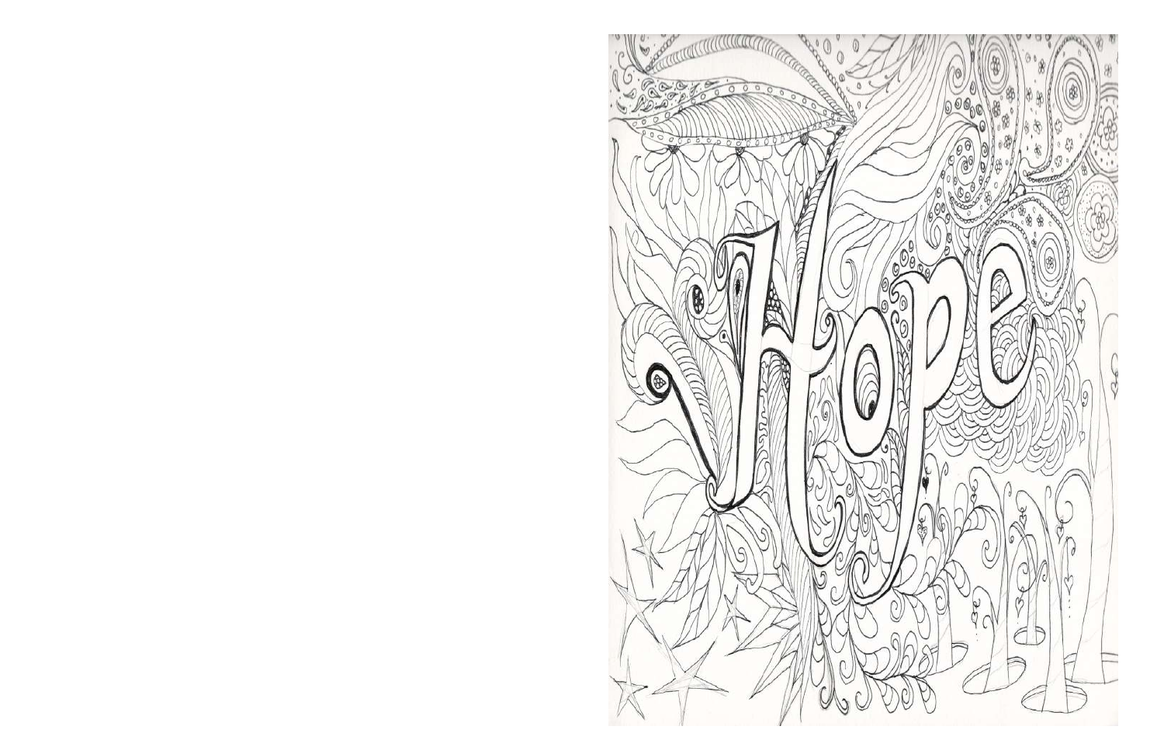